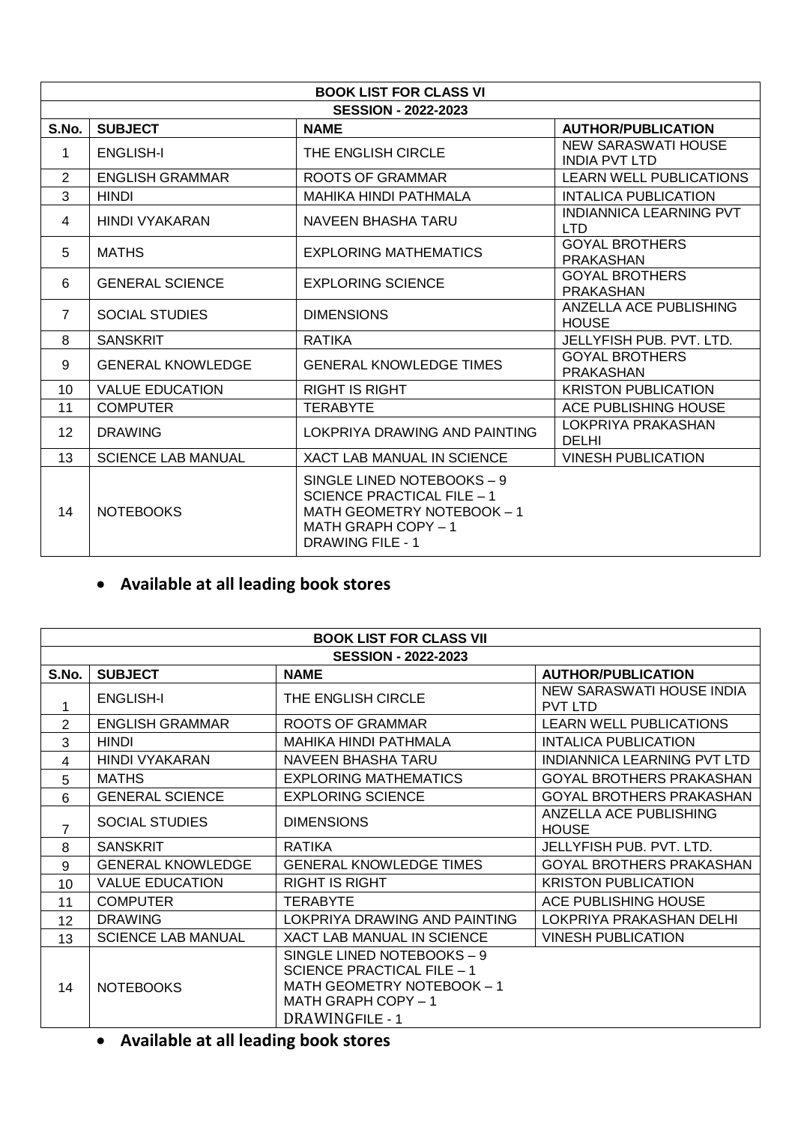| <b>BOOK LIST FOR CLASS VI</b> |                            |                                                                                                                                                 |                                              |
|-------------------------------|----------------------------|-------------------------------------------------------------------------------------------------------------------------------------------------|----------------------------------------------|
|                               | <b>SESSION - 2022-2023</b> |                                                                                                                                                 |                                              |
| S.No.                         | <b>SUBJECT</b>             | <b>NAME</b>                                                                                                                                     | <b>AUTHOR/PUBLICATION</b>                    |
| 1                             | <b>ENGLISH-I</b>           | THE ENGLISH CIRCLE                                                                                                                              | NEW SARASWATI HOUSE<br><b>INDIA PVT LTD</b>  |
| $\overline{2}$                | <b>ENGLISH GRAMMAR</b>     | <b>ROOTS OF GRAMMAR</b>                                                                                                                         | <b>LEARN WELL PUBLICATIONS</b>               |
| 3                             | <b>HINDI</b>               | <b>MAHIKA HINDI PATHMALA</b>                                                                                                                    | <b>INTALICA PUBLICATION</b>                  |
| 4                             | <b>HINDI VYAKARAN</b>      | NAVEEN BHASHA TARU                                                                                                                              | <b>INDIANNICA LEARNING PVT</b><br><b>LTD</b> |
| 5                             | <b>MATHS</b>               | EXPLORING MATHEMATICS                                                                                                                           | <b>GOYAL BROTHERS</b><br><b>PRAKASHAN</b>    |
| 6                             | <b>GENERAL SCIENCE</b>     | <b>EXPLORING SCIENCE</b>                                                                                                                        | <b>GOYAL BROTHERS</b><br><b>PRAKASHAN</b>    |
| $\overline{7}$                | <b>SOCIAL STUDIES</b>      | <b>DIMENSIONS</b>                                                                                                                               | ANZELLA ACE PUBLISHING<br><b>HOUSE</b>       |
| 8                             | <b>SANSKRIT</b>            | <b>RATIKA</b>                                                                                                                                   | JELLYFISH PUB. PVT. LTD.                     |
| 9                             | <b>GENERAL KNOWLEDGE</b>   | <b>GENERAL KNOWLEDGE TIMES</b>                                                                                                                  | <b>GOYAL BROTHERS</b><br><b>PRAKASHAN</b>    |
| 10                            | <b>VALUE EDUCATION</b>     | <b>RIGHT IS RIGHT</b>                                                                                                                           | <b>KRISTON PUBLICATION</b>                   |
| 11                            | <b>COMPUTER</b>            | <b>TERABYTE</b>                                                                                                                                 | ACE PUBLISHING HOUSE                         |
| 12                            | <b>DRAWING</b>             | LOKPRIYA DRAWING AND PAINTING                                                                                                                   | LOKPRIYA PRAKASHAN<br><b>DELHI</b>           |
| 13                            | <b>SCIENCE LAB MANUAL</b>  | <b>XACT LAB MANUAL IN SCIENCE</b>                                                                                                               | <b>VINESH PUBLICATION</b>                    |
| 14                            | <b>NOTEBOOKS</b>           | SINGLE LINED NOTEBOOKS - 9<br><b>SCIENCE PRACTICAL FILE - 1</b><br>MATH GEOMETRY NOTEBOOK - 1<br>MATH GRAPH COPY - 1<br><b>DRAWING FILE - 1</b> |                                              |

# **Available at all leading book stores**

| <b>BOOK LIST FOR CLASS VII</b> |                            |                                                                                                                                         |                                             |  |
|--------------------------------|----------------------------|-----------------------------------------------------------------------------------------------------------------------------------------|---------------------------------------------|--|
|                                | <b>SESSION - 2022-2023</b> |                                                                                                                                         |                                             |  |
| S.No.                          | <b>SUBJECT</b>             | <b>NAME</b>                                                                                                                             | <b>AUTHOR/PUBLICATION</b>                   |  |
| 1                              | <b>ENGLISH-I</b>           | THE ENGLISH CIRCLE                                                                                                                      | NEW SARASWATI HOUSE INDIA<br><b>PVT LTD</b> |  |
| $\overline{2}$                 | <b>ENGLISH GRAMMAR</b>     | <b>ROOTS OF GRAMMAR</b>                                                                                                                 | <b>LEARN WELL PUBLICATIONS</b>              |  |
| 3                              | HINDI                      | MAHIKA HINDI PATHMALA                                                                                                                   | <b>INTALICA PUBLICATION</b>                 |  |
| 4                              | HINDI VYAKARAN             | NAVEEN BHASHA TARU                                                                                                                      | INDIANNICA LEARNING PVT LTD                 |  |
| 5                              | <b>MATHS</b>               | <b>EXPLORING MATHEMATICS</b>                                                                                                            | GOYAL BROTHERS PRAKASHAN                    |  |
| 6                              | <b>GENERAL SCIENCE</b>     | <b>EXPLORING SCIENCE</b>                                                                                                                | GOYAL BROTHERS PRAKASHAN                    |  |
| $\overline{7}$                 | <b>SOCIAL STUDIES</b>      | <b>DIMENSIONS</b>                                                                                                                       | ANZELLA ACE PUBLISHING<br><b>HOUSE</b>      |  |
| 8                              | <b>SANSKRIT</b>            | <b>RATIKA</b>                                                                                                                           | JELLYFISH PUB. PVT. LTD.                    |  |
| 9                              | <b>GENERAL KNOWLEDGE</b>   | <b>GENERAL KNOWLEDGE TIMES</b>                                                                                                          | <b>GOYAL BROTHERS PRAKASHAN</b>             |  |
| 10                             | <b>VALUE EDUCATION</b>     | <b>RIGHT IS RIGHT</b>                                                                                                                   | <b>KRISTON PUBLICATION</b>                  |  |
| 11                             | <b>COMPUTER</b>            | <b>TERABYTE</b>                                                                                                                         | ACE PUBLISHING HOUSE                        |  |
| 12                             | <b>DRAWING</b>             | LOKPRIYA DRAWING AND PAINTING                                                                                                           | LOKPRIYA PRAKASHAN DELHI                    |  |
| 13                             | <b>SCIENCE LAB MANUAL</b>  | <b>XACT LAB MANUAL IN SCIENCE</b>                                                                                                       | <b>VINESH PUBLICATION</b>                   |  |
| 14                             | <b>NOTEBOOKS</b>           | SINGLE LINED NOTEBOOKS - 9<br>SCIENCE PRACTICAL FILE - 1<br>MATH GEOMETRY NOTEBOOK - 1<br>MATH GRAPH COPY - 1<br><b>DRAWINGFILE - 1</b> |                                             |  |

### **Available at all leading book stores**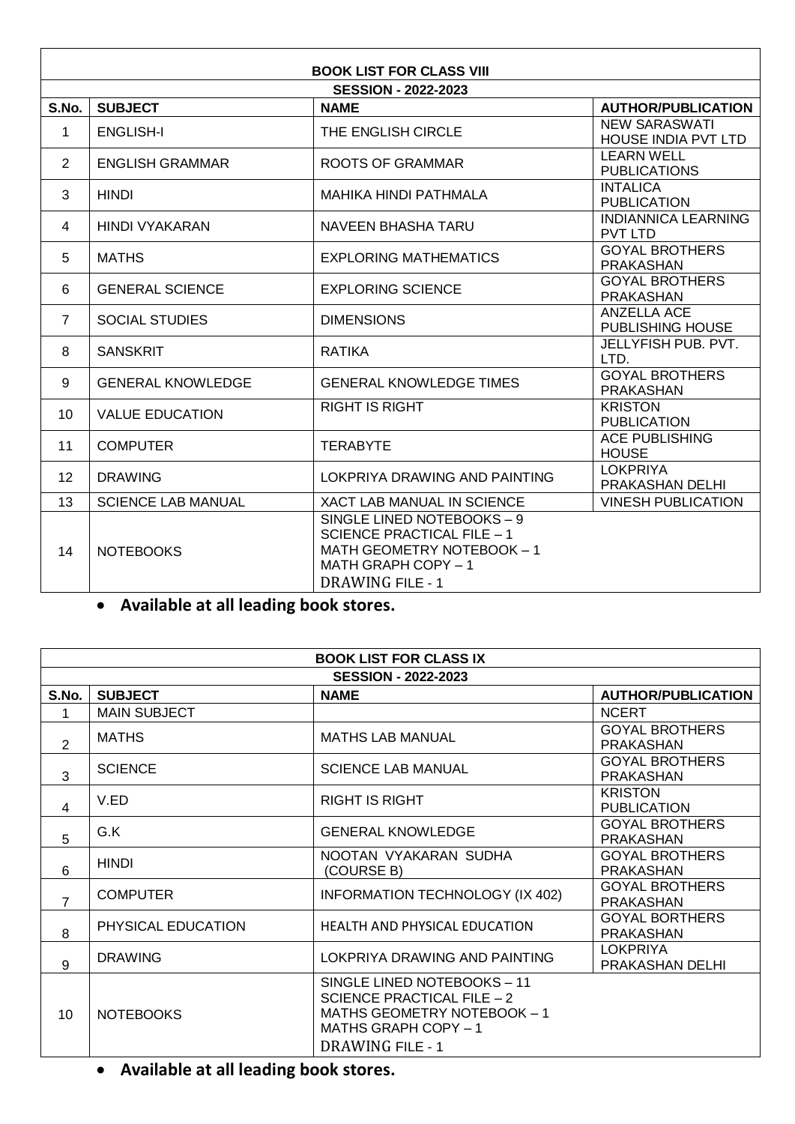| <b>BOOK LIST FOR CLASS VIII</b> |                            |                                                                                                                                                 |                                              |  |
|---------------------------------|----------------------------|-------------------------------------------------------------------------------------------------------------------------------------------------|----------------------------------------------|--|
|                                 | <b>SESSION - 2022-2023</b> |                                                                                                                                                 |                                              |  |
| S.No.                           | <b>SUBJECT</b>             | <b>NAME</b>                                                                                                                                     | <b>AUTHOR/PUBLICATION</b>                    |  |
| 1                               | <b>ENGLISH-I</b>           | THE ENGLISH CIRCLE                                                                                                                              | NEW SARASWATI<br><b>HOUSE INDIA PVT LTD</b>  |  |
| $\overline{2}$                  | <b>ENGLISH GRAMMAR</b>     | <b>ROOTS OF GRAMMAR</b>                                                                                                                         | <b>LEARN WELL</b><br><b>PUBLICATIONS</b>     |  |
| 3                               | <b>HINDI</b>               | <b>MAHIKA HINDI PATHMALA</b>                                                                                                                    | <b>INTALICA</b><br><b>PUBLICATION</b>        |  |
| 4                               | HINDI VYAKARAN             | NAVEEN BHASHA TARU                                                                                                                              | <b>INDIANNICA LEARNING</b><br><b>PVT LTD</b> |  |
| 5                               | <b>MATHS</b>               | <b>EXPLORING MATHEMATICS</b>                                                                                                                    | <b>GOYAL BROTHERS</b><br><b>PRAKASHAN</b>    |  |
| 6                               | <b>GENERAL SCIENCE</b>     | <b>EXPLORING SCIENCE</b>                                                                                                                        | <b>GOYAL BROTHERS</b><br><b>PRAKASHAN</b>    |  |
| $\overline{7}$                  | <b>SOCIAL STUDIES</b>      | <b>DIMENSIONS</b>                                                                                                                               | <b>ANZELLA ACE</b><br>PUBLISHING HOUSE       |  |
| 8                               | <b>SANSKRIT</b>            | <b>RATIKA</b>                                                                                                                                   | <b>JELLYFISH PUB, PVT.</b><br>LTD.           |  |
| 9                               | <b>GENERAL KNOWLEDGE</b>   | <b>GENERAL KNOWLEDGE TIMES</b>                                                                                                                  | <b>GOYAL BROTHERS</b><br><b>PRAKASHAN</b>    |  |
| 10                              | <b>VALUE EDUCATION</b>     | <b>RIGHT IS RIGHT</b>                                                                                                                           | <b>KRISTON</b><br><b>PUBLICATION</b>         |  |
| 11                              | <b>COMPUTER</b>            | <b>TERABYTE</b>                                                                                                                                 | <b>ACE PUBLISHING</b><br><b>HOUSE</b>        |  |
| 12 <sup>2</sup>                 | <b>DRAWING</b>             | LOKPRIYA DRAWING AND PAINTING                                                                                                                   | <b>LOKPRIYA</b><br>PRAKASHAN DELHI           |  |
| 13                              | <b>SCIENCE LAB MANUAL</b>  | XACT LAB MANUAL IN SCIENCE                                                                                                                      | <b>VINESH PUBLICATION</b>                    |  |
| 14                              | <b>NOTEBOOKS</b>           | SINGLE LINED NOTEBOOKS - 9<br><b>SCIENCE PRACTICAL FILE - 1</b><br>MATH GEOMETRY NOTEBOOK - 1<br>MATH GRAPH COPY - 1<br><b>DRAWING FILE - 1</b> |                                              |  |

### **Available at all leading book stores.**

| <b>BOOK LIST FOR CLASS IX</b> |                     |                                                                                                                                                    |                                           |
|-------------------------------|---------------------|----------------------------------------------------------------------------------------------------------------------------------------------------|-------------------------------------------|
| <b>SESSION - 2022-2023</b>    |                     |                                                                                                                                                    |                                           |
| S.No.                         | <b>SUBJECT</b>      | <b>NAME</b>                                                                                                                                        | <b>AUTHOR/PUBLICATION</b>                 |
| 1                             | <b>MAIN SUBJECT</b> |                                                                                                                                                    | <b>NCERT</b>                              |
| $\overline{2}$                | <b>MATHS</b>        | <b>MATHS LAB MANUAL</b>                                                                                                                            | <b>GOYAL BROTHERS</b><br><b>PRAKASHAN</b> |
| 3                             | <b>SCIENCE</b>      | <b>SCIENCE LAB MANUAL</b>                                                                                                                          | <b>GOYAL BROTHERS</b><br><b>PRAKASHAN</b> |
| $\overline{4}$                | V.ED                | RIGHT IS RIGHT                                                                                                                                     | <b>KRISTON</b><br><b>PUBLICATION</b>      |
| 5                             | G.K                 | <b>GENERAL KNOWLEDGE</b>                                                                                                                           | <b>GOYAL BROTHERS</b><br><b>PRAKASHAN</b> |
| 6                             | <b>HINDI</b>        | NOOTAN VYAKARAN SUDHA<br>(COURSE B)                                                                                                                | <b>GOYAL BROTHERS</b><br><b>PRAKASHAN</b> |
| $\overline{7}$                | <b>COMPUTER</b>     | INFORMATION TECHNOLOGY (IX 402)                                                                                                                    | <b>GOYAL BROTHERS</b><br><b>PRAKASHAN</b> |
| 8                             | PHYSICAL EDUCATION  | HEALTH AND PHYSICAL EDUCATION                                                                                                                      | <b>GOYAL BORTHERS</b><br><b>PRAKASHAN</b> |
| 9                             | <b>DRAWING</b>      | LOKPRIYA DRAWING AND PAINTING                                                                                                                      | <b>LOKPRIYA</b><br>PRAKASHAN DELHI        |
| 10                            | <b>NOTEBOOKS</b>    | SINGLE LINED NOTEBOOKS - 11<br><b>SCIENCE PRACTICAL FILE - 2</b><br>MATHS GEOMETRY NOTEBOOK - 1<br>MATHS GRAPH COPY - 1<br><b>DRAWING FILE - 1</b> |                                           |

**Available at all leading book stores.**